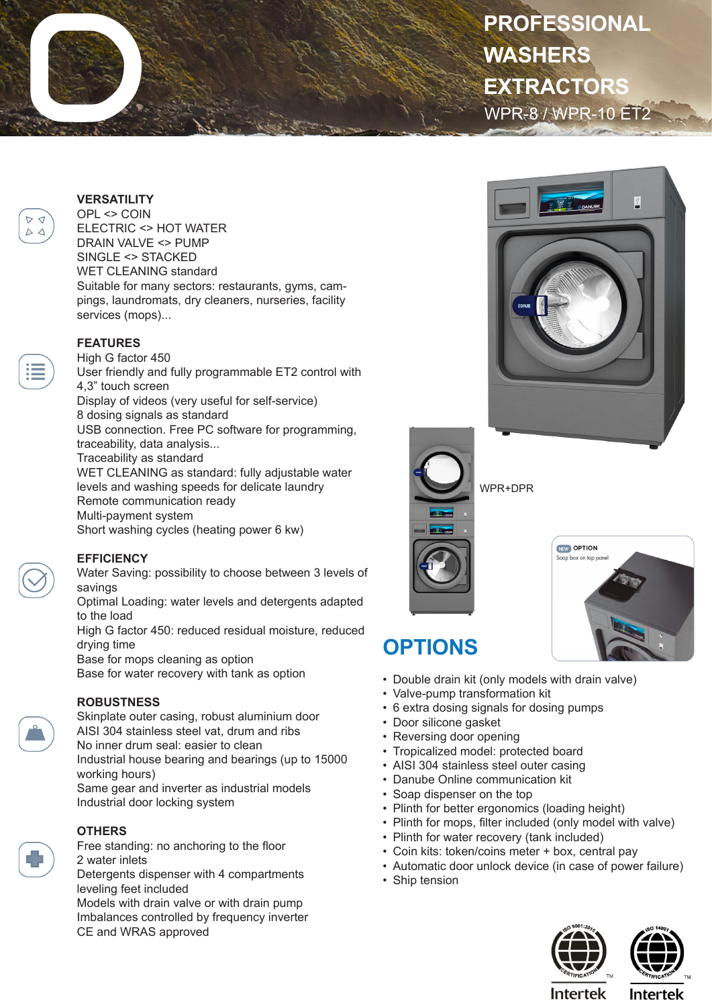# WPR-8 / WPR-10 ET2 **PROFESSIONAL WASHERS EXTRACTORS**

#### **VERSATILITY**

OPL <> COIN ELECTRIC <> HOT WATER DRAIN VALVE <> PUMP SINGLE <> STACKED WET CLEANING standard Suitable for many sectors: restaurants, gyms, campings, laundromats, dry cleaners, nurseries, facility services (mops)...

### **FEATURES**

High G factor 450 User friendly and fully programmable ET2 control with 4,3" touch screen Display of videos (very useful for self-service) 8 dosing signals as standard USB connection. Free PC software for programming, traceability, data analysis... Traceability as standard WET CLEANING as standard: fully adjustable water levels and washing speeds for delicate laundry Remote communication ready Multi-payment system Short washing cycles (heating power 6 kw)

#### **EFFICIENCY**

Water Saving: possibility to choose between 3 levels of savings

Optimal Loading: water levels and detergents adapted to the load

High G factor 450: reduced residual moisture, reduced drying time

Base for mops cleaning as option

Base for water recovery with tank as option

#### **ROBUSTNESS**

Skinplate outer casing, robust aluminium door AISI 304 stainless steel vat, drum and ribs No inner drum seal: easier to clean Industrial house bearing and bearings (up to 15000 working hours) Same gear and inverter as industrial models

Industrial door locking system



## **OTHERS**

Free standing: no anchoring to the floor 2 water inlets Detergents dispenser with 4 compartments leveling feet included Models with drain valve or with drain pump Imbalances controlled by frequency inverter CE and WRAS approved





÷,

# **OPTIONS**

- Double drain kit (only models with drain valve)
- Valve-pump transformation kit
- 6 extra dosing signals for dosing pumps
- Door silicone gasket
- Reversing door opening
- Tropicalized model: protected board
- AISI 304 stainless steel outer casing
- Danube Online communication kit
- Soap dispenser on the top
- Plinth for better ergonomics (loading height)
- Plinth for mops, filter included (only model with valve)
- Plinth for water recovery (tank included)
- Coin kits: token/coins meter + box, central pay
- Automatic door unlock device (in case of power failure)
- Ship tension







**Intertek** 



WPR+DPR